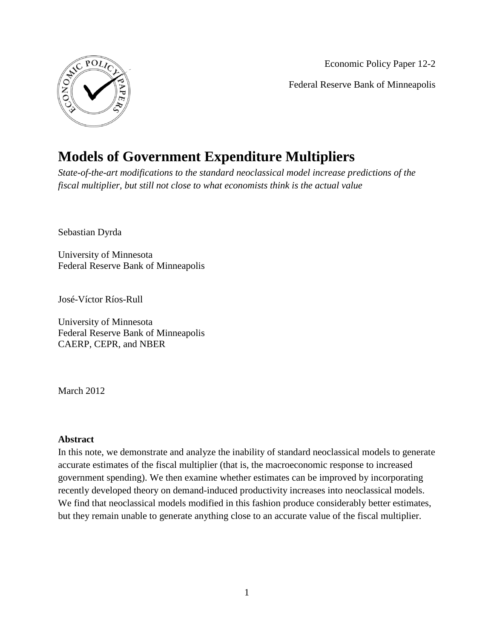

Economic Policy Paper 12-2 Federal Reserve Bank of Minneapolis

# **Models of Government Expenditure Multipliers**

*State-of-the-art modifications to the standard neoclassical model increase predictions of the fiscal multiplier, but still not close to what economists think is the actual value*

Sebastian Dyrda

University of Minnesota Federal Reserve Bank of Minneapolis

José-Víctor Ríos-Rull

University of Minnesota Federal Reserve Bank of Minneapolis CAERP, CEPR, and NBER

March 2012

#### **Abstract**

In this note, we demonstrate and analyze the inability of standard neoclassical models to generate accurate estimates of the fiscal multiplier (that is, the macroeconomic response to increased government spending). We then examine whether estimates can be improved by incorporating recently developed theory on demand-induced productivity increases into neoclassical models. We find that neoclassical models modified in this fashion produce considerably better estimates, but they remain unable to generate anything close to an accurate value of the fiscal multiplier.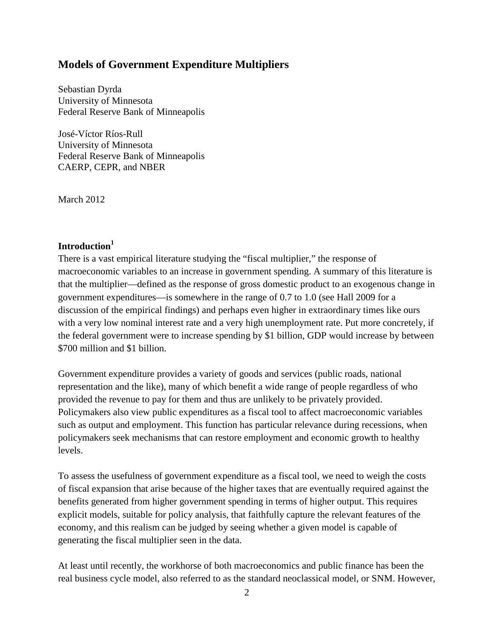# **Models of Government Expenditure Multipliers**

Sebastian Dyrda University of Minnesota Federal Reserve Bank of Minneapolis

José-Víctor Ríos-Rull University of Minnesota Federal Reserve Bank of Minneapolis CAERP, CEPR, and NBER

March 2012

# **Introduction<sup>1</sup>**

There is a vast empirical literature studying the "fiscal multiplier," the response of macroeconomic variables to an increase in government spending. A summary of this literature is that the multiplier—defined as the response of gross domestic product to an exogenous change in government expenditures—is somewhere in the range of 0.7 to 1.0 (see Hall 2009 for a discussion of the empirical findings) and perhaps even higher in extraordinary times like ours with a very low nominal interest rate and a very high unemployment rate. Put more concretely, if the federal government were to increase spending by \$1 billion, GDP would increase by between \$700 million and \$1 billion.

Government expenditure provides a variety of goods and services (public roads, national representation and the like), many of which benefit a wide range of people regardless of who provided the revenue to pay for them and thus are unlikely to be privately provided. Policymakers also view public expenditures as a fiscal tool to affect macroeconomic variables such as output and employment. This function has particular relevance during recessions, when policymakers seek mechanisms that can restore employment and economic growth to healthy levels.

To assess the usefulness of government expenditure as a fiscal tool, we need to weigh the costs of fiscal expansion that arise because of the higher taxes that are eventually required against the benefits generated from higher government spending in terms of higher output. This requires explicit models, suitable for policy analysis, that faithfully capture the relevant features of the economy, and this realism can be judged by seeing whether a given model is capable of generating the fiscal multiplier seen in the data.

At least until recently, the workhorse of both macroeconomics and public finance has been the real business cycle model, also referred to as the standard neoclassical model, or SNM. However,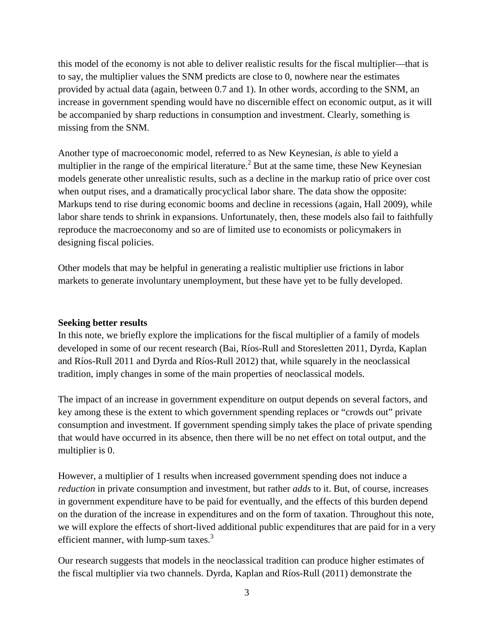this model of the economy is not able to deliver realistic results for the fiscal multiplier—that is to say, the multiplier values the SNM predicts are close to 0, nowhere near the estimates provided by actual data (again, between 0.7 and 1). In other words, according to the SNM, an increase in government spending would have no discernible effect on economic output, as it will be accompanied by sharp reductions in consumption and investment. Clearly, something is missing from the SNM.

Another type of macroeconomic model, referred to as New Keynesian, *is* able to yield a multiplier in the range of the empirical literature.<sup>2</sup> But at the same time, these New Keynesian models generate other unrealistic results, such as a decline in the markup ratio of price over cost when output rises, and a dramatically procyclical labor share. The data show the opposite: Markups tend to rise during economic booms and decline in recessions (again, Hall 2009), while labor share tends to shrink in expansions. Unfortunately, then, these models also fail to faithfully reproduce the macroeconomy and so are of limited use to economists or policymakers in designing fiscal policies.

Other models that may be helpful in generating a realistic multiplier use frictions in labor markets to generate involuntary unemployment, but these have yet to be fully developed.

#### **Seeking better results**

In this note, we briefly explore the implications for the fiscal multiplier of a family of models developed in some of our recent research (Bai, Ríos-Rull and Storesletten 2011, Dyrda, Kaplan and Ríos-Rull 2011 and Dyrda and Ríos-Rull 2012) that, while squarely in the neoclassical tradition, imply changes in some of the main properties of neoclassical models.

The impact of an increase in government expenditure on output depends on several factors, and key among these is the extent to which government spending replaces or "crowds out" private consumption and investment. If government spending simply takes the place of private spending that would have occurred in its absence, then there will be no net effect on total output, and the multiplier is 0.

However, a multiplier of 1 results when increased government spending does not induce a *reduction* in private consumption and investment, but rather *adds* to it. But, of course, increases in government expenditure have to be paid for eventually, and the effects of this burden depend on the duration of the increase in expenditures and on the form of taxation. Throughout this note, we will explore the effects of short-lived additional public expenditures that are paid for in a very efficient manner, with lump-sum taxes.<sup>3</sup>

Our research suggests that models in the neoclassical tradition can produce higher estimates of the fiscal multiplier via two channels. Dyrda, Kaplan and Ríos-Rull (2011) demonstrate the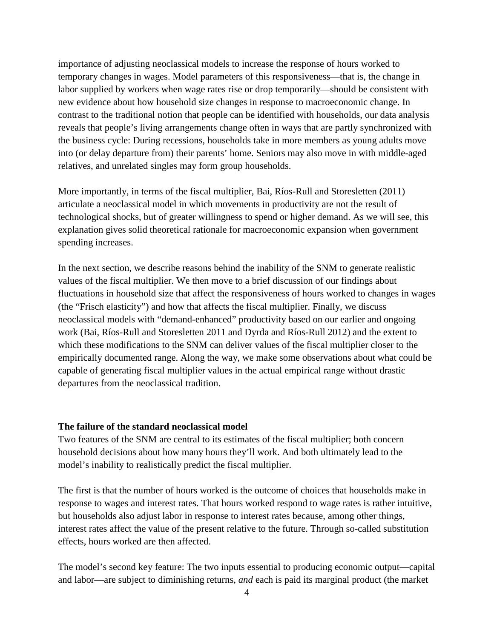importance of adjusting neoclassical models to increase the response of hours worked to temporary changes in wages. Model parameters of this responsiveness—that is, the change in labor supplied by workers when wage rates rise or drop temporarily—should be consistent with new evidence about how household size changes in response to macroeconomic change. In contrast to the traditional notion that people can be identified with households, our data analysis reveals that people's living arrangements change often in ways that are partly synchronized with the business cycle: During recessions, households take in more members as young adults move into (or delay departure from) their parents' home. Seniors may also move in with middle-aged relatives, and unrelated singles may form group households.

More importantly, in terms of the fiscal multiplier, Bai, Ríos-Rull and Storesletten (2011) articulate a neoclassical model in which movements in productivity are not the result of technological shocks, but of greater willingness to spend or higher demand. As we will see, this explanation gives solid theoretical rationale for macroeconomic expansion when government spending increases.

In the next section, we describe reasons behind the inability of the SNM to generate realistic values of the fiscal multiplier. We then move to a brief discussion of our findings about fluctuations in household size that affect the responsiveness of hours worked to changes in wages (the "Frisch elasticity") and how that affects the fiscal multiplier. Finally, we discuss neoclassical models with "demand-enhanced" productivity based on our earlier and ongoing work (Bai, Ríos-Rull and Storesletten 2011 and Dyrda and Ríos-Rull 2012) and the extent to which these modifications to the SNM can deliver values of the fiscal multiplier closer to the empirically documented range. Along the way, we make some observations about what could be capable of generating fiscal multiplier values in the actual empirical range without drastic departures from the neoclassical tradition.

#### **The failure of the standard neoclassical model**

Two features of the SNM are central to its estimates of the fiscal multiplier; both concern household decisions about how many hours they'll work. And both ultimately lead to the model's inability to realistically predict the fiscal multiplier.

The first is that the number of hours worked is the outcome of choices that households make in response to wages and interest rates. That hours worked respond to wage rates is rather intuitive, but households also adjust labor in response to interest rates because, among other things, interest rates affect the value of the present relative to the future. Through so-called substitution effects, hours worked are then affected.

The model's second key feature: The two inputs essential to producing economic output—capital and labor—are subject to diminishing returns, *and* each is paid its marginal product (the market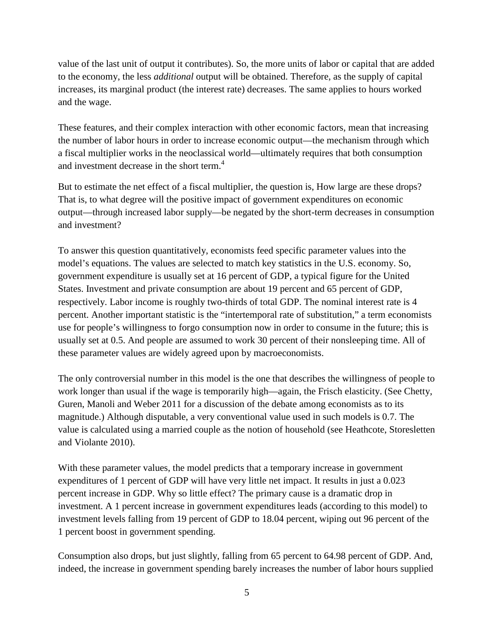value of the last unit of output it contributes). So, the more units of labor or capital that are added to the economy, the less *additional* output will be obtained. Therefore, as the supply of capital increases, its marginal product (the interest rate) decreases. The same applies to hours worked and the wage.

These features, and their complex interaction with other economic factors, mean that increasing the number of labor hours in order to increase economic output—the mechanism through which a fiscal multiplier works in the neoclassical world—ultimately requires that both consumption and investment decrease in the short term.<sup>4</sup>

But to estimate the net effect of a fiscal multiplier, the question is, How large are these drops? That is, to what degree will the positive impact of government expenditures on economic output—through increased labor supply—be negated by the short-term decreases in consumption and investment?

To answer this question quantitatively, economists feed specific parameter values into the model's equations. The values are selected to match key statistics in the U.S. economy. So, government expenditure is usually set at 16 percent of GDP, a typical figure for the United States. Investment and private consumption are about 19 percent and 65 percent of GDP, respectively. Labor income is roughly two-thirds of total GDP. The nominal interest rate is 4 percent. Another important statistic is the "intertemporal rate of substitution," a term economists use for people's willingness to forgo consumption now in order to consume in the future; this is usually set at 0.5. And people are assumed to work 30 percent of their nonsleeping time. All of these parameter values are widely agreed upon by macroeconomists.

The only controversial number in this model is the one that describes the willingness of people to work longer than usual if the wage is temporarily high—again, the Frisch elasticity. (See Chetty, Guren, Manoli and Weber 2011 for a discussion of the debate among economists as to its magnitude.) Although disputable, a very conventional value used in such models is 0.7. The value is calculated using a married couple as the notion of household (see Heathcote, Storesletten and Violante 2010).

With these parameter values, the model predicts that a temporary increase in government expenditures of 1 percent of GDP will have very little net impact. It results in just a 0.023 percent increase in GDP. Why so little effect? The primary cause is a dramatic drop in investment. A 1 percent increase in government expenditures leads (according to this model) to investment levels falling from 19 percent of GDP to 18.04 percent, wiping out 96 percent of the 1 percent boost in government spending.

Consumption also drops, but just slightly, falling from 65 percent to 64.98 percent of GDP. And, indeed, the increase in government spending barely increases the number of labor hours supplied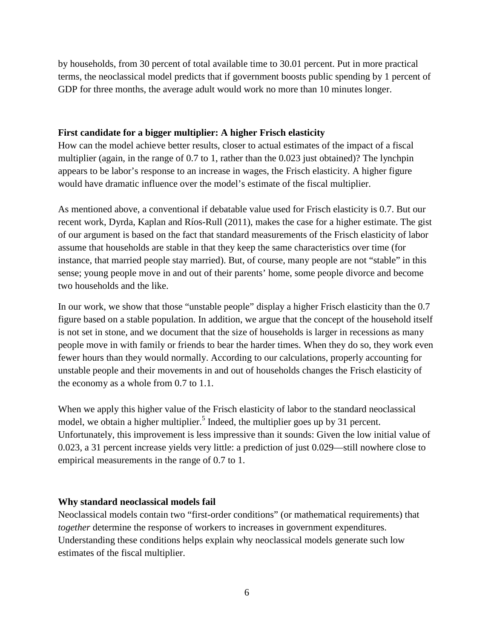by households, from 30 percent of total available time to 30.01 percent. Put in more practical terms, the neoclassical model predicts that if government boosts public spending by 1 percent of GDP for three months, the average adult would work no more than 10 minutes longer.

## **First candidate for a bigger multiplier: A higher Frisch elasticity**

How can the model achieve better results, closer to actual estimates of the impact of a fiscal multiplier (again, in the range of 0.7 to 1, rather than the 0.023 just obtained)? The lynchpin appears to be labor's response to an increase in wages, the Frisch elasticity. A higher figure would have dramatic influence over the model's estimate of the fiscal multiplier.

As mentioned above, a conventional if debatable value used for Frisch elasticity is 0.7. But our recent work, Dyrda, Kaplan and Ríos-Rull (2011), makes the case for a higher estimate. The gist of our argument is based on the fact that standard measurements of the Frisch elasticity of labor assume that households are stable in that they keep the same characteristics over time (for instance, that married people stay married). But, of course, many people are not "stable" in this sense; young people move in and out of their parents' home, some people divorce and become two households and the like.

In our work, we show that those "unstable people" display a higher Frisch elasticity than the 0.7 figure based on a stable population. In addition, we argue that the concept of the household itself is not set in stone, and we document that the size of households is larger in recessions as many people move in with family or friends to bear the harder times. When they do so, they work even fewer hours than they would normally. According to our calculations, properly accounting for unstable people and their movements in and out of households changes the Frisch elasticity of the economy as a whole from 0.7 to 1.1.

When we apply this higher value of the Frisch elasticity of labor to the standard neoclassical model, we obtain a higher multiplier.<sup>5</sup> Indeed, the multiplier goes up by 31 percent. Unfortunately, this improvement is less impressive than it sounds: Given the low initial value of 0.023, a 31 percent increase yields very little: a prediction of just 0.029—still nowhere close to empirical measurements in the range of 0.7 to 1.

## **Why standard neoclassical models fail**

Neoclassical models contain two "first-order conditions" (or mathematical requirements) that *together* determine the response of workers to increases in government expenditures. Understanding these conditions helps explain why neoclassical models generate such low estimates of the fiscal multiplier.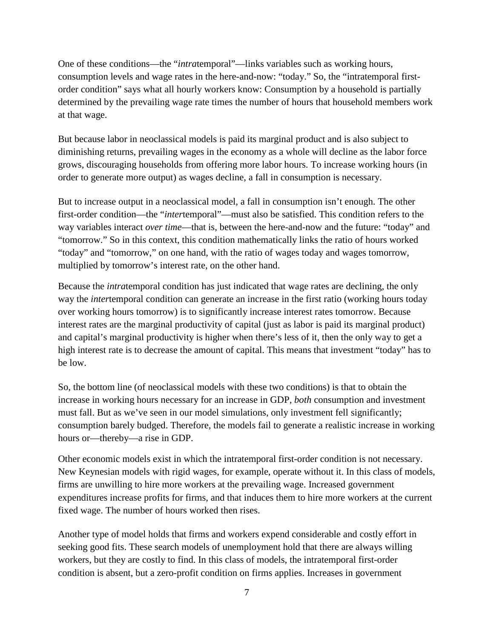One of these conditions—the "*intra*temporal"—links variables such as working hours, consumption levels and wage rates in the here-and-now: "today." So, the "intratemporal firstorder condition" says what all hourly workers know: Consumption by a household is partially determined by the prevailing wage rate times the number of hours that household members work at that wage.

But because labor in neoclassical models is paid its marginal product and is also subject to diminishing returns, prevailing wages in the economy as a whole will decline as the labor force grows, discouraging households from offering more labor hours. To increase working hours (in order to generate more output) as wages decline, a fall in consumption is necessary.

But to increase output in a neoclassical model, a fall in consumption isn't enough. The other first-order condition—the "*inter*temporal"—must also be satisfied. This condition refers to the way variables interact *over time*—that is, between the here-and-now and the future: "today" and "tomorrow." So in this context, this condition mathematically links the ratio of hours worked "today" and "tomorrow," on one hand, with the ratio of wages today and wages tomorrow, multiplied by tomorrow's interest rate, on the other hand.

Because the *intra*temporal condition has just indicated that wage rates are declining, the only way the *inter*temporal condition can generate an increase in the first ratio (working hours today over working hours tomorrow) is to significantly increase interest rates tomorrow. Because interest rates are the marginal productivity of capital (just as labor is paid its marginal product) and capital's marginal productivity is higher when there's less of it, then the only way to get a high interest rate is to decrease the amount of capital. This means that investment "today" has to be low.

So, the bottom line (of neoclassical models with these two conditions) is that to obtain the increase in working hours necessary for an increase in GDP, *both* consumption and investment must fall. But as we've seen in our model simulations, only investment fell significantly; consumption barely budged. Therefore, the models fail to generate a realistic increase in working hours or—thereby—a rise in GDP.

Other economic models exist in which the intratemporal first-order condition is not necessary. New Keynesian models with rigid wages, for example, operate without it. In this class of models, firms are unwilling to hire more workers at the prevailing wage. Increased government expenditures increase profits for firms, and that induces them to hire more workers at the current fixed wage. The number of hours worked then rises.

Another type of model holds that firms and workers expend considerable and costly effort in seeking good fits. These search models of unemployment hold that there are always willing workers, but they are costly to find. In this class of models, the intratemporal first-order condition is absent, but a zero-profit condition on firms applies. Increases in government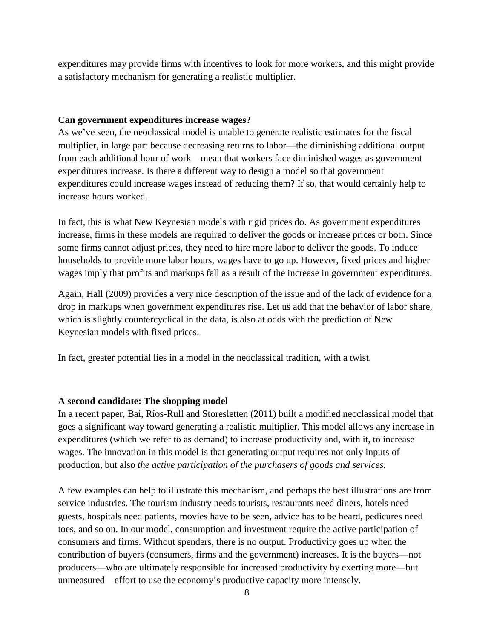expenditures may provide firms with incentives to look for more workers, and this might provide a satisfactory mechanism for generating a realistic multiplier.

## **Can government expenditures increase wages?**

As we've seen, the neoclassical model is unable to generate realistic estimates for the fiscal multiplier, in large part because decreasing returns to labor—the diminishing additional output from each additional hour of work—mean that workers face diminished wages as government expenditures increase. Is there a different way to design a model so that government expenditures could increase wages instead of reducing them? If so, that would certainly help to increase hours worked.

In fact, this is what New Keynesian models with rigid prices do. As government expenditures increase, firms in these models are required to deliver the goods or increase prices or both. Since some firms cannot adjust prices, they need to hire more labor to deliver the goods. To induce households to provide more labor hours, wages have to go up. However, fixed prices and higher wages imply that profits and markups fall as a result of the increase in government expenditures.

Again, Hall (2009) provides a very nice description of the issue and of the lack of evidence for a drop in markups when government expenditures rise. Let us add that the behavior of labor share, which is slightly countercyclical in the data, is also at odds with the prediction of New Keynesian models with fixed prices.

In fact, greater potential lies in a model in the neoclassical tradition, with a twist.

## **A second candidate: The shopping model**

In a recent paper, Bai, Ríos-Rull and Storesletten (2011) built a modified neoclassical model that goes a significant way toward generating a realistic multiplier. This model allows any increase in expenditures (which we refer to as demand) to increase productivity and, with it, to increase wages. The innovation in this model is that generating output requires not only inputs of production, but also *the active participation of the purchasers of goods and services.*

A few examples can help to illustrate this mechanism, and perhaps the best illustrations are from service industries. The tourism industry needs tourists, restaurants need diners, hotels need guests, hospitals need patients, movies have to be seen, advice has to be heard, pedicures need toes, and so on. In our model, consumption and investment require the active participation of consumers and firms. Without spenders, there is no output. Productivity goes up when the contribution of buyers (consumers, firms and the government) increases. It is the buyers—not producers—who are ultimately responsible for increased productivity by exerting more—but unmeasured—effort to use the economy's productive capacity more intensely.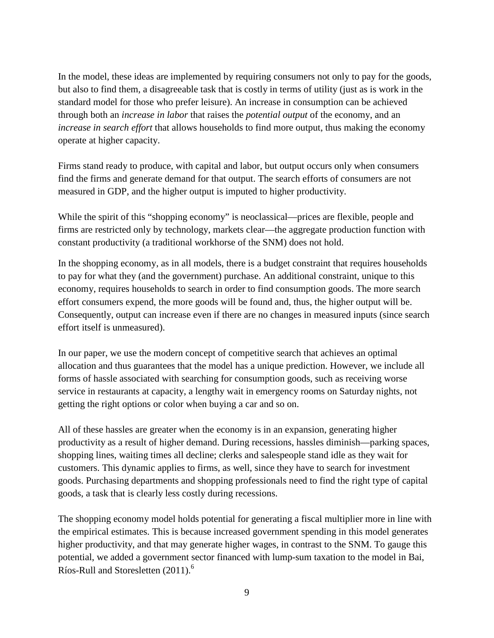In the model, these ideas are implemented by requiring consumers not only to pay for the goods, but also to find them, a disagreeable task that is costly in terms of utility (just as is work in the standard model for those who prefer leisure). An increase in consumption can be achieved through both an *increase in labor* that raises the *potential output* of the economy, and an *increase in search effort* that allows households to find more output, thus making the economy operate at higher capacity.

Firms stand ready to produce, with capital and labor, but output occurs only when consumers find the firms and generate demand for that output. The search efforts of consumers are not measured in GDP, and the higher output is imputed to higher productivity.

While the spirit of this "shopping economy" is neoclassical—prices are flexible, people and firms are restricted only by technology, markets clear—the aggregate production function with constant productivity (a traditional workhorse of the SNM) does not hold.

In the shopping economy, as in all models, there is a budget constraint that requires households to pay for what they (and the government) purchase. An additional constraint, unique to this economy, requires households to search in order to find consumption goods. The more search effort consumers expend, the more goods will be found and, thus, the higher output will be. Consequently, output can increase even if there are no changes in measured inputs (since search effort itself is unmeasured).

In our paper, we use the modern concept of competitive search that achieves an optimal allocation and thus guarantees that the model has a unique prediction. However, we include all forms of hassle associated with searching for consumption goods, such as receiving worse service in restaurants at capacity, a lengthy wait in emergency rooms on Saturday nights, not getting the right options or color when buying a car and so on.

All of these hassles are greater when the economy is in an expansion, generating higher productivity as a result of higher demand. During recessions, hassles diminish—parking spaces, shopping lines, waiting times all decline; clerks and salespeople stand idle as they wait for customers. This dynamic applies to firms, as well, since they have to search for investment goods. Purchasing departments and shopping professionals need to find the right type of capital goods, a task that is clearly less costly during recessions.

The shopping economy model holds potential for generating a fiscal multiplier more in line with the empirical estimates. This is because increased government spending in this model generates higher productivity, and that may generate higher wages, in contrast to the SNM. To gauge this potential, we added a government sector financed with lump-sum taxation to the model in Bai, Ríos-Rull and Storesletten (2011).<sup>6</sup>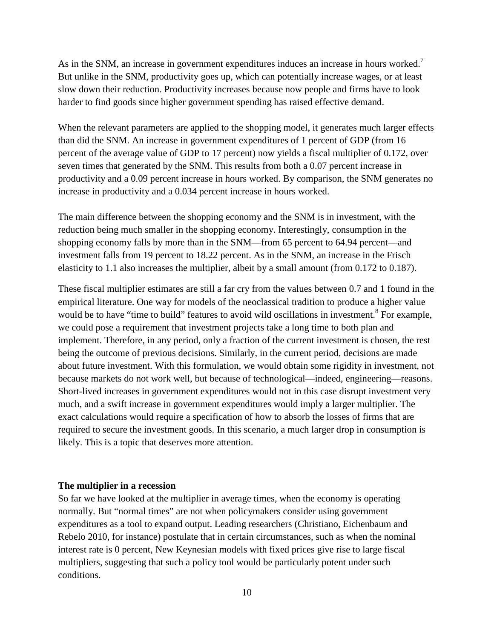As in the SNM, an increase in government expenditures induces an increase in hours worked.<sup>7</sup> But unlike in the SNM, productivity goes up, which can potentially increase wages, or at least slow down their reduction. Productivity increases because now people and firms have to look harder to find goods since higher government spending has raised effective demand.

When the relevant parameters are applied to the shopping model, it generates much larger effects than did the SNM. An increase in government expenditures of 1 percent of GDP (from 16 percent of the average value of GDP to 17 percent) now yields a fiscal multiplier of 0.172, over seven times that generated by the SNM. This results from both a 0.07 percent increase in productivity and a 0.09 percent increase in hours worked. By comparison, the SNM generates no increase in productivity and a 0.034 percent increase in hours worked.

The main difference between the shopping economy and the SNM is in investment, with the reduction being much smaller in the shopping economy. Interestingly, consumption in the shopping economy falls by more than in the SNM—from 65 percent to 64.94 percent—and investment falls from 19 percent to 18.22 percent. As in the SNM, an increase in the Frisch elasticity to 1.1 also increases the multiplier, albeit by a small amount (from 0.172 to 0.187).

These fiscal multiplier estimates are still a far cry from the values between 0.7 and 1 found in the empirical literature. One way for models of the neoclassical tradition to produce a higher value would be to have "time to build" features to avoid wild oscillations in investment.<sup>8</sup> For example, we could pose a requirement that investment projects take a long time to both plan and implement. Therefore, in any period, only a fraction of the current investment is chosen, the rest being the outcome of previous decisions. Similarly, in the current period, decisions are made about future investment. With this formulation, we would obtain some rigidity in investment, not because markets do not work well, but because of technological—indeed, engineering—reasons. Short-lived increases in government expenditures would not in this case disrupt investment very much, and a swift increase in government expenditures would imply a larger multiplier. The exact calculations would require a specification of how to absorb the losses of firms that are required to secure the investment goods. In this scenario, a much larger drop in consumption is likely. This is a topic that deserves more attention.

#### **The multiplier in a recession**

So far we have looked at the multiplier in average times, when the economy is operating normally. But "normal times" are not when policymakers consider using government expenditures as a tool to expand output. Leading researchers (Christiano, Eichenbaum and Rebelo 2010, for instance) postulate that in certain circumstances, such as when the nominal interest rate is 0 percent, New Keynesian models with fixed prices give rise to large fiscal multipliers, suggesting that such a policy tool would be particularly potent under such conditions.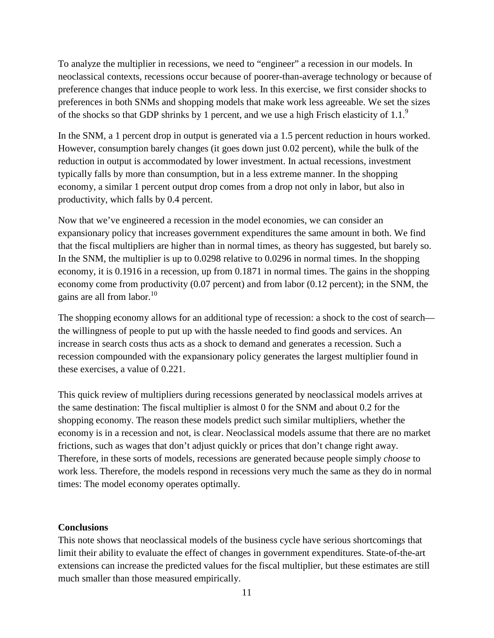To analyze the multiplier in recessions, we need to "engineer" a recession in our models. In neoclassical contexts, recessions occur because of poorer-than-average technology or because of preference changes that induce people to work less. In this exercise, we first consider shocks to preferences in both SNMs and shopping models that make work less agreeable. We set the sizes of the shocks so that GDP shrinks by 1 percent, and we use a high Frisch elasticity of  $1.1<sup>9</sup>$ 

In the SNM, a 1 percent drop in output is generated via a 1.5 percent reduction in hours worked. However, consumption barely changes (it goes down just 0.02 percent), while the bulk of the reduction in output is accommodated by lower investment. In actual recessions, investment typically falls by more than consumption, but in a less extreme manner. In the shopping economy, a similar 1 percent output drop comes from a drop not only in labor, but also in productivity, which falls by 0.4 percent.

Now that we've engineered a recession in the model economies, we can consider an expansionary policy that increases government expenditures the same amount in both. We find that the fiscal multipliers are higher than in normal times, as theory has suggested, but barely so. In the SNM, the multiplier is up to 0.0298 relative to 0.0296 in normal times. In the shopping economy, it is 0.1916 in a recession, up from 0.1871 in normal times. The gains in the shopping economy come from productivity (0.07 percent) and from labor (0.12 percent); in the SNM, the gains are all from labor.<sup>10</sup>

The shopping economy allows for an additional type of recession: a shock to the cost of search the willingness of people to put up with the hassle needed to find goods and services. An increase in search costs thus acts as a shock to demand and generates a recession. Such a recession compounded with the expansionary policy generates the largest multiplier found in these exercises, a value of 0.221.

This quick review of multipliers during recessions generated by neoclassical models arrives at the same destination: The fiscal multiplier is almost 0 for the SNM and about 0.2 for the shopping economy. The reason these models predict such similar multipliers, whether the economy is in a recession and not, is clear. Neoclassical models assume that there are no market frictions, such as wages that don't adjust quickly or prices that don't change right away. Therefore, in these sorts of models, recessions are generated because people simply *choose* to work less. Therefore, the models respond in recessions very much the same as they do in normal times: The model economy operates optimally.

#### **Conclusions**

This note shows that neoclassical models of the business cycle have serious shortcomings that limit their ability to evaluate the effect of changes in government expenditures. State-of-the-art extensions can increase the predicted values for the fiscal multiplier, but these estimates are still much smaller than those measured empirically.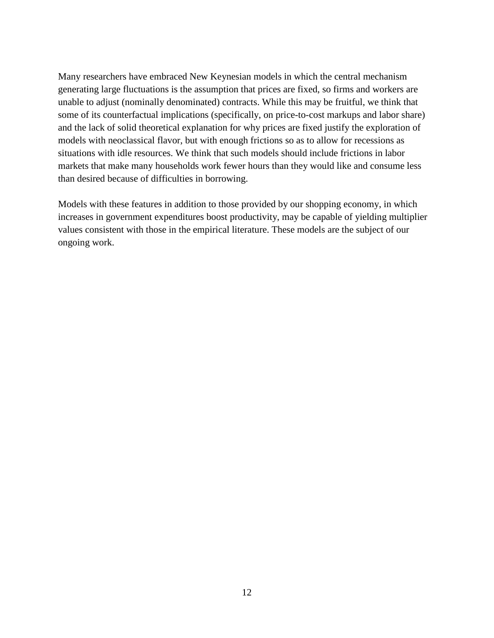Many researchers have embraced New Keynesian models in which the central mechanism generating large fluctuations is the assumption that prices are fixed, so firms and workers are unable to adjust (nominally denominated) contracts. While this may be fruitful, we think that some of its counterfactual implications (specifically, on price-to-cost markups and labor share) and the lack of solid theoretical explanation for why prices are fixed justify the exploration of models with neoclassical flavor, but with enough frictions so as to allow for recessions as situations with idle resources. We think that such models should include frictions in labor markets that make many households work fewer hours than they would like and consume less than desired because of difficulties in borrowing.

Models with these features in addition to those provided by our shopping economy, in which increases in government expenditures boost productivity, may be capable of yielding multiplier values consistent with those in the empirical literature. These models are the subject of our ongoing work.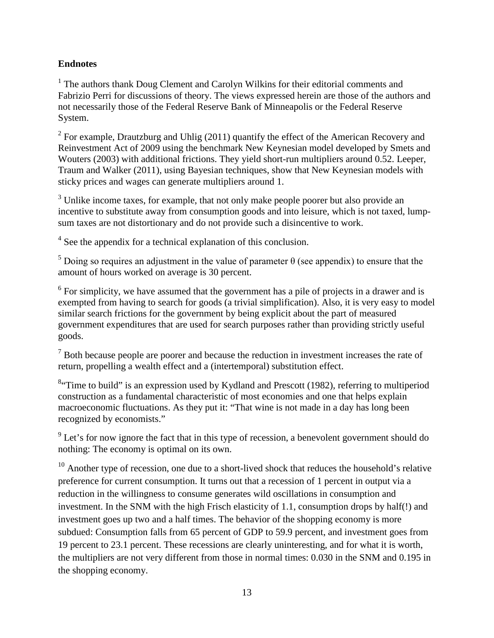## **Endnotes**

<sup>1</sup> The authors thank Doug Clement and Carolyn Wilkins for their editorial comments and Fabrizio Perri for discussions of theory. The views expressed herein are those of the authors and not necessarily those of the Federal Reserve Bank of Minneapolis or the Federal Reserve System.

 $2$  For example, Drautzburg and Uhlig (2011) quantify the effect of the American Recovery and Reinvestment Act of 2009 using the benchmark New Keynesian model developed by Smets and Wouters (2003) with additional frictions. They yield short-run multipliers around 0.52. Leeper, Traum and Walker (2011), using Bayesian techniques, show that New Keynesian models with sticky prices and wages can generate multipliers around 1.

<sup>3</sup> Unlike income taxes, for example, that not only make people poorer but also provide an incentive to substitute away from consumption goods and into leisure, which is not taxed, lumpsum taxes are not distortionary and do not provide such a disincentive to work.

<sup>4</sup> See the appendix for a technical explanation of this conclusion.

<sup>5</sup> Doing so requires an adjustment in the value of parameter  $\theta$  (see appendix) to ensure that the amount of hours worked on average is 30 percent.

 $6$  For simplicity, we have assumed that the government has a pile of projects in a drawer and is exempted from having to search for goods (a trivial simplification). Also, it is very easy to model similar search frictions for the government by being explicit about the part of measured government expenditures that are used for search purposes rather than providing strictly useful goods.

 $<sup>7</sup>$  Both because people are poorer and because the reduction in investment increases the rate of</sup> return, propelling a wealth effect and a (intertemporal) substitution effect.

<sup>8</sup> Time to build" is an expression used by Kydland and Prescott (1982), referring to multiperiod construction as a fundamental characteristic of most economies and one that helps explain macroeconomic fluctuations. As they put it: "That wine is not made in a day has long been recognized by economists."

 $9<sup>9</sup>$  Let's for now ignore the fact that in this type of recession, a benevolent government should do nothing: The economy is optimal on its own.

 $10$  Another type of recession, one due to a short-lived shock that reduces the household's relative preference for current consumption. It turns out that a recession of 1 percent in output via a reduction in the willingness to consume generates wild oscillations in consumption and investment. In the SNM with the high Frisch elasticity of 1.1, consumption drops by half(!) and investment goes up two and a half times. The behavior of the shopping economy is more subdued: Consumption falls from 65 percent of GDP to 59.9 percent, and investment goes from 19 percent to 23.1 percent. These recessions are clearly uninteresting, and for what it is worth, the multipliers are not very different from those in normal times: 0.030 in the SNM and 0.195 in the shopping economy.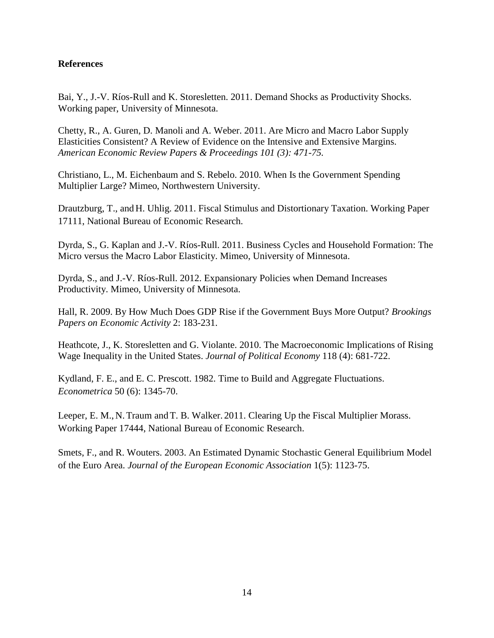## **References**

Bai, Y., J.-V. Ríos-Rull and K. Storesletten. 2011. Demand Shocks as Productivity Shocks. Working paper, University of Minnesota.

Chetty, R., A. Guren, D. Manoli and A. Weber. 2011. Are Micro and Macro Labor Supply Elasticities Consistent? A Review of Evidence on the Intensive and Extensive Margins. *American Economic Review Papers & Proceedings 101 (3): 471-75.*

Christiano, L., M. Eichenbaum and S. Rebelo. 2010. When Is the Government Spending Multiplier Large? Mimeo, Northwestern University.

Drautzburg, T., and H. Uhlig. 2011. Fiscal Stimulus and Distortionary Taxation. Working Paper 17111, National Bureau of Economic Research.

Dyrda, S., G. Kaplan and J.-V. Ríos-Rull. 2011. Business Cycles and Household Formation: The Micro versus the Macro Labor Elasticity. Mimeo, University of Minnesota.

Dyrda, S., and J.-V. Ríos-Rull. 2012. Expansionary Policies when Demand Increases Productivity. Mimeo, University of Minnesota.

Hall, R. 2009. By How Much Does GDP Rise if the Government Buys More Output? *Brookings Papers on Economic Activity* 2: 183-231.

Heathcote, J., K. Storesletten and G. Violante. 2010. The Macroeconomic Implications of Rising Wage Inequality in the United States. *Journal of Political Economy* 118 (4): 681-722.

Kydland, F. E., and E. C. Prescott. 1982. Time to Build and Aggregate Fluctuations. *Econometrica* 50 (6): 1345-70.

Leeper, E. M., N. Traum and T. B. Walker. 2011. Clearing Up the Fiscal Multiplier Morass. Working Paper 17444, National Bureau of Economic Research.

Smets, F., and R. Wouters. 2003. An Estimated Dynamic Stochastic General Equilibrium Model of the Euro Area. *Journal of the European Economic Association* 1(5): 1123-75.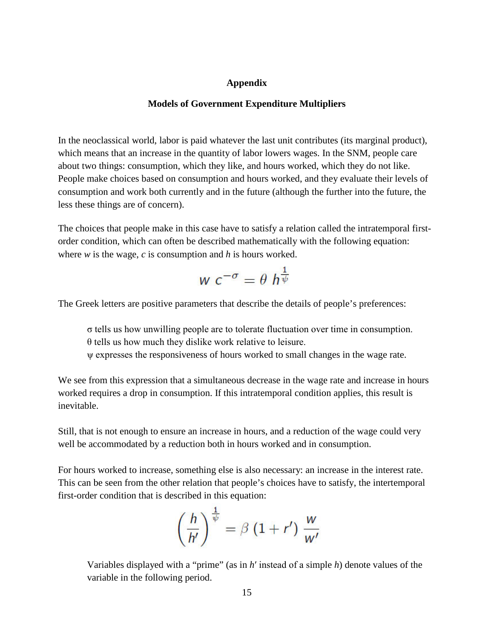#### **Appendix**

#### **Models of Government Expenditure Multipliers**

In the neoclassical world, labor is paid whatever the last unit contributes (its marginal product), which means that an increase in the quantity of labor lowers wages. In the SNM, people care about two things: consumption, which they like, and hours worked, which they do not like. People make choices based on consumption and hours worked, and they evaluate their levels of consumption and work both currently and in the future (although the further into the future, the less these things are of concern).

The choices that people make in this case have to satisfy a relation called the intratemporal firstorder condition, which can often be described mathematically with the following equation: where *w* is the wage, *c* is consumption and *h* is hours worked.

$$
w c^{-\sigma} = \theta \ h^{\frac{1}{\psi}}
$$

The Greek letters are positive parameters that describe the details of people's preferences:

σ tells us how unwilling people are to tolerate fluctuation over time in consumption. θ tells us how much they dislike work relative to leisure.

ψ expresses the responsiveness of hours worked to small changes in the wage rate.

We see from this expression that a simultaneous decrease in the wage rate and increase in hours worked requires a drop in consumption. If this intratemporal condition applies, this result is inevitable.

Still, that is not enough to ensure an increase in hours, and a reduction of the wage could very well be accommodated by a reduction both in hours worked and in consumption.

For hours worked to increase, something else is also necessary: an increase in the interest rate. This can be seen from the other relation that people's choices have to satisfy, the intertemporal first-order condition that is described in this equation:

$$
\left(\frac{h}{h'}\right)^{\frac{1}{\psi}} = \beta \left(1 + r'\right) \frac{w}{w'}
$$

Variables displayed with a "prime" (as in *h*′ instead of a simple *h*) denote values of the variable in the following period.